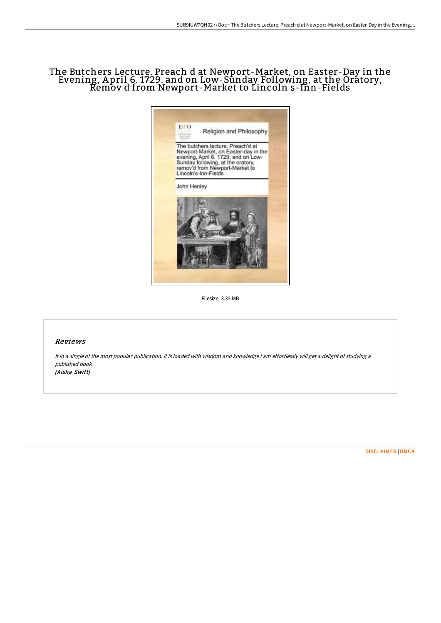# The Butchers Lecture. Preach d at Newport-Market, on Easter-Day in the Evening, A pril 6. 1729. and on Low-Sunday Following, at the Oratory, Remov d from Newport-Market to Lincoln s-Inn-Fields



Filesize: 3.33 MB

## Reviews

It in <sup>a</sup> single of the most popular publication. It is loaded with wisdom and knowledge <sup>I</sup> am effortlessly will get <sup>a</sup> delight of studying <sup>a</sup> published book. (Aisha Swift)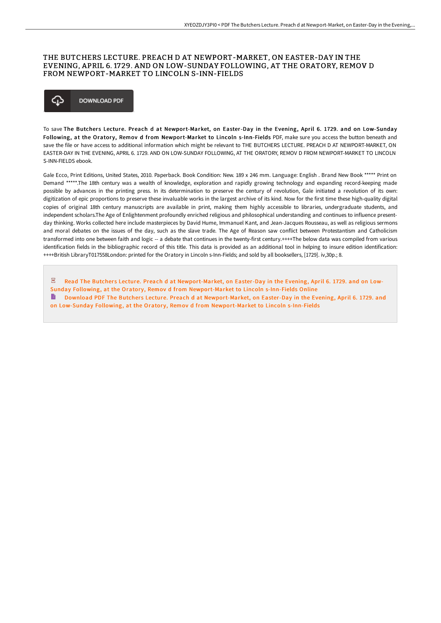## THE BUTCHERS LECTURE. PREACH D AT NEWPORT-MARKET, ON EASTER-DAY IN THE EVENING, APRIL 6. 1729. AND ON LOW-SUNDAY FOLLOWING, AT THE ORATORY, REMOV D FROM NEWPORT-MARKET TO LINCOLN S-INN-FIELDS

## ঞ **DOWNLOAD PDF**

To save The Butchers Lecture. Preach d at Newport-Market, on Easter-Day in the Evening, April 6. 1729. and on Low-Sunday Following, at the Oratory, Remov d from Newport-Market to Lincoln s-Inn-Fields PDF, make sure you access the button beneath and save the file or have access to additional information which might be relevant to THE BUTCHERS LECTURE. PREACH D AT NEWPORT-MARKET, ON EASTER-DAY IN THE EVENING, APRIL 6. 1729. AND ON LOW-SUNDAY FOLLOWING, AT THE ORATORY, REMOV D FROM NEWPORT-MARKET TO LINCOLN S-INN-FIELDS ebook.

Gale Ecco, Print Editions, United States, 2010. Paperback. Book Condition: New. 189 x 246 mm. Language: English . Brand New Book \*\*\*\*\* Print on Demand \*\*\*\*\*.The 18th century was a wealth of knowledge, exploration and rapidly growing technology and expanding record-keeping made possible by advances in the printing press. In its determination to preserve the century of revolution, Gale initiated a revolution of its own: digitization of epic proportions to preserve these invaluable works in the largest archive of its kind. Now for the first time these high-quality digital copies of original 18th century manuscripts are available in print, making them highly accessible to libraries, undergraduate students, and independent scholars.The Age of Enlightenment profoundly enriched religious and philosophical understanding and continues to influence presentday thinking. Works collected here include masterpieces by David Hume, Immanuel Kant, and Jean-Jacques Rousseau, as well as religious sermons and moral debates on the issues of the day, such as the slave trade. The Age of Reason saw conflict between Protestantism and Catholicism transformed into one between faith and logic -- a debate that continues in the twenty-first century.++++The below data was compiled from various identification fields in the bibliographic record of this title. This data is provided as an additional tool in helping to insure edition identification: ++++British LibraryT017558London: printed for the Oratory in Lincoln s-Inn-Fields; and sold by all booksellers, [1729]. iv,30p.; 8.

 $\overline{\text{pos}}$ Read The Butchers Lecture. Preach d at [Newport-Market,](http://techno-pub.tech/the-butchers-lecture-preach-d-at-newport-market-.html) on Easter-Day in the Evening, April 6. 1729. and on Low-Sunday Following, at the Oratory, Remov d from Newport-Market to Lincoln s-Inn-Fields Online Download PDF The Butchers Lecture. Preach d at [Newport-Market,](http://techno-pub.tech/the-butchers-lecture-preach-d-at-newport-market-.html) on Easter-Day in the Evening, April 6. 1729. and on Low-Sunday Following, at the Oratory, Remov d from Newport-Market to Lincoln s-Inn-Fields